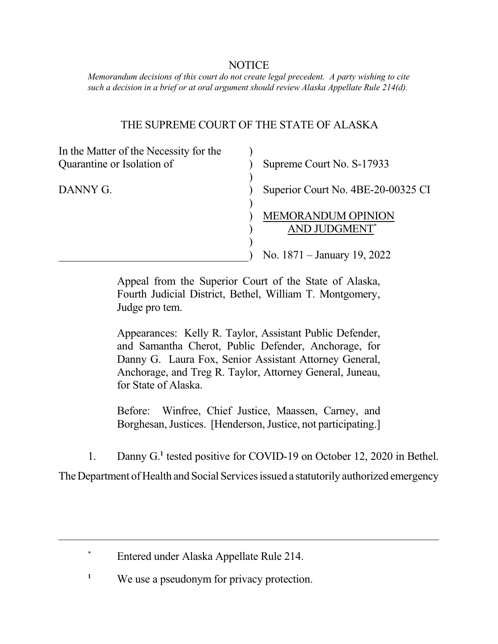## NOTICE

 *Memorandum decisions of this court do not create legal precedent. A party wishing to cite such a decision in a brief or at oral argument should review Alaska Appellate Rule 214(d).* 

## THE SUPREME COURT OF THE STATE OF ALASKA

| In the Matter of the Necessity for the |                                            |
|----------------------------------------|--------------------------------------------|
| Quarantine or Isolation of             | Supreme Court No. S-17933                  |
| DANNY G.                               | Superior Court No. 4BE-20-00325 CI         |
|                                        | <b>MEMORANDUM OPINION</b><br>AND JUDGMENT* |
|                                        | No. $1871 -$ January 19, 2022              |

 Appeal from the Superior Court of the State of Alaska, Fourth Judicial District, Bethel, William T. Montgomery, Judge pro tem.

 Appearances: Kelly R. Taylor, Assistant Public Defender, and Samantha Cherot, Public Defender, Anchorage, for Danny G. Laura Fox, Senior Assistant Attorney General, Anchorage, and Treg R. Taylor, Attorney General, Juneau, for State of Alaska.

Before: Borghesan, Justices. [Henderson, Justice, not participating.] Winfree, Chief Justice, Maassen, Carney, and

1. Danny G.**<sup>1</sup>**tested positive for COVID-19 on October 12, 2020 in Bethel.

The Department of Health and Social Services issued a statutorily authorized emergency

\* Entered under Alaska Appellate Rule 214.

<sup>1</sup> We use a pseudonym for privacy protection.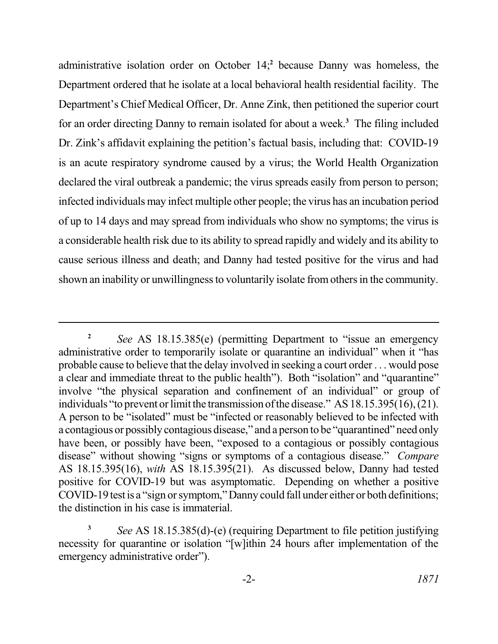administrative isolation order on October 14;**<sup>2</sup>**because Danny was homeless, the Department ordered that he isolate at a local behavioral health residential facility. The Department's Chief Medical Officer, Dr. Anne Zink, then petitioned the superior court for an order directing Danny to remain isolated for about a week.**<sup>3</sup>**The filing included Dr. Zink's affidavit explaining the petition's factual basis, including that: COVID-19 is an acute respiratory syndrome caused by a virus; the World Health Organization declared the viral outbreak a pandemic; the virus spreads easily from person to person; infected individuals may infect multiple other people; the virus has an incubation period of up to 14 days and may spread from individuals who show no symptoms; the virus is a considerable health risk due to its ability to spread rapidly and widely and its ability to cause serious illness and death; and Danny had tested positive for the virus and had shown an inability or unwillingness to voluntarily isolate from others in the community.

 **<sup>2</sup>***See* AS 18.15.385(e) (permitting Department to "issue an emergency administrative order to temporarily isolate or quarantine an individual" when it "has probable cause to believe that the delay involved in seeking a court order . . . would pose involve "the physical separation and confinement of an individual" or group of individuals "to prevent or limit the transmission of the disease." AS 18.15.395(16), (21). A person to be "isolated" must be "infected or reasonably believed to be infected with a contagious or possibly contagious disease," and a person to be "quarantined" need only have been, or possibly have been, "exposed to a contagious or possibly contagious disease" without showing "signs or symptoms of a contagious disease." *Compare*  AS 18.15.395(16), *with* AS 18.15.395(21). As discussed below, Danny had tested positive for COVID-19 but was asymptomatic. Depending on whether a positive COVID-19 test is a "sign or symptom," Danny could fall under either or both definitions; the distinction in his case is immaterial. a clear and immediate threat to the public health"). Both "isolation" and "quarantine"

 **<sup>3</sup>***See* AS 18.15.385(d)-(e) (requiring Department to file petition justifying necessity for quarantine or isolation "[w]ithin 24 hours after implementation of the emergency administrative order").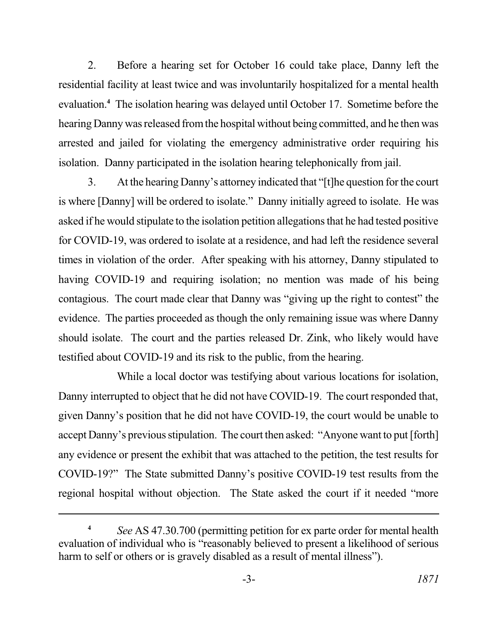2. Before a hearing set for October 16 could take place, Danny left the residential facility at least twice and was involuntarily hospitalized for a mental health evaluation.**<sup>4</sup>** The isolation hearing was delayed until October 17. Sometime before the hearing Danny was released from the hospital without being committed, and he then was arrested and jailed for violating the emergency administrative order requiring his isolation. Danny participated in the isolation hearing telephonically from jail.

3. At the hearing Danny's attorney indicated that "[t]he question for the court is where [Danny] will be ordered to isolate." Danny initially agreed to isolate. He was asked if he would stipulate to the isolation petition allegations that he had tested positive for COVID-19, was ordered to isolate at a residence, and had left the residence several times in violation of the order. After speaking with his attorney, Danny stipulated to having COVID-19 and requiring isolation; no mention was made of his being contagious. The court made clear that Danny was "giving up the right to contest" the evidence. The parties proceeded as though the only remaining issue was where Danny should isolate. The court and the parties released Dr. Zink, who likely would have testified about COVID-19 and its risk to the public, from the hearing.

While a local doctor was testifying about various locations for isolation, Danny interrupted to object that he did not have COVID-19. The court responded that, given Danny's position that he did not have COVID-19, the court would be unable to accept Danny's previous stipulation. The court then asked: "Anyone want to put [forth] any evidence or present the exhibit that was attached to the petition, the test results for COVID-19?" The State submitted Danny's positive COVID-19 test results from the regional hospital without objection. The State asked the court if it needed "more

 **<sup>4</sup>***See* AS 47.30.700 (permitting petition for ex parte order for mental health evaluation of individual who is "reasonably believed to present a likelihood of serious harm to self or others or is gravely disabled as a result of mental illness").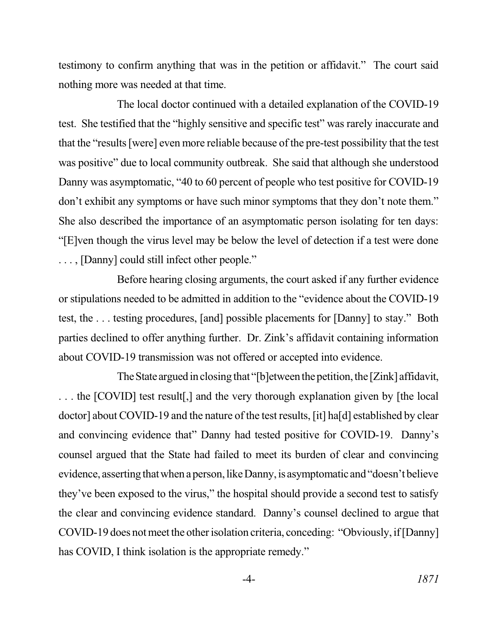testimony to confirm anything that was in the petition or affidavit." The court said nothing more was needed at that time.

 test. She testified that the "highly sensitive and specific test" was rarely inaccurate and that the "results [were] even more reliable because of the pre-test possibility that the test was positive" due to local community outbreak. She said that although she understood Danny was asymptomatic, "40 to 60 percent of people who test positive for COVID-19 don't exhibit any symptoms or have such minor symptoms that they don't note them." She also described the importance of an asymptomatic person isolating for ten days: "[E]ven though the virus level may be below the level of detection if a test were done . . . , [Danny] could still infect other people." The local doctor continued with a detailed explanation of the COVID-19

 Before hearing closing arguments, the court asked if any further evidence or stipulations needed to be admitted in addition to the "evidence about the COVID-19 test, the . . . testing procedures, [and] possible placements for [Danny] to stay." Both parties declined to offer anything further. Dr. Zink's affidavit containing information about COVID-19 transmission was not offered or accepted into evidence.

The State argued in closing that "[b]etween the petition, the [Zink] affidavit, . . . the [COVID] test result[,] and the very thorough explanation given by [the local doctor] about COVID-19 and the nature of the test results, [it] ha[d] established by clear and convincing evidence that" Danny had tested positive for COVID-19. Danny's counsel argued that the State had failed to meet its burden of clear and convincing evidence, asserting that when a person, like Danny, is asymptomatic and "doesn't believe they've been exposed to the virus," the hospital should provide a second test to satisfy the clear and convincing evidence standard. Danny's counsel declined to argue that COVID-19 does not meet the other isolation criteria, conceding: "Obviously, if [Danny] has COVID, I think isolation is the appropriate remedy."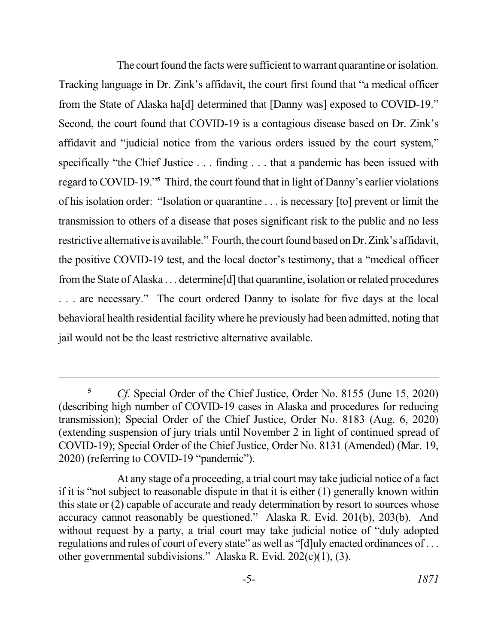The court found the facts were sufficient to warrant quarantine or isolation. Tracking language in Dr. Zink's affidavit, the court first found that "a medical officer from the State of Alaska ha[d] determined that [Danny was] exposed to COVID-19." Second, the court found that COVID-19 is a contagious disease based on Dr. Zink's affidavit and "judicial notice from the various orders issued by the court system," specifically "the Chief Justice . . . finding . . . that a pandemic has been issued with regard to COVID-19."**<sup>5</sup>**Third, the court found that in light of Danny's earlier violations of his isolation order: "Isolation or quarantine . . . is necessary [to] prevent or limit the transmission to others of a disease that poses significant risk to the public and no less restrictive alternative is available." Fourth, the court found based on Dr. Zink's affidavit, the positive COVID-19 test, and the local doctor's testimony, that a "medical officer from the State of Alaska . . . determine[d] that quarantine, isolation or related procedures . . . are necessary." The court ordered Danny to isolate for five days at the local behavioral health residential facility where he previously had been admitted, noting that jail would not be the least restrictive alternative available.

<sup>&</sup>lt;sup>5</sup> Cf. Special Order of the Chief Justice, Order No. 8155 (June 15, 2020) (describing high number of COVID-19 cases in Alaska and procedures for reducing transmission); Special Order of the Chief Justice, Order No. 8183 (Aug. 6, 2020) (extending suspension of jury trials until November 2 in light of continued spread of COVID-19); Special Order of the Chief Justice, Order No. 8131 (Amended) (Mar. 19, 2020) (referring to COVID-19 "pandemic").

 At any stage of a proceeding, a trial court may take judicial notice of a fact if it is "not subject to reasonable dispute in that it is either (1) generally known within this state or (2) capable of accurate and ready determination by resort to sources whose accuracy cannot reasonably be questioned." Alaska R. Evid. 201(b), 203(b). And without request by a party, a trial court may take judicial notice of "duly adopted regulations and rules of court of every state" as well as "[d]uly enacted ordinances of . . . other governmental subdivisions." Alaska R. Evid. 202(c)(1), (3).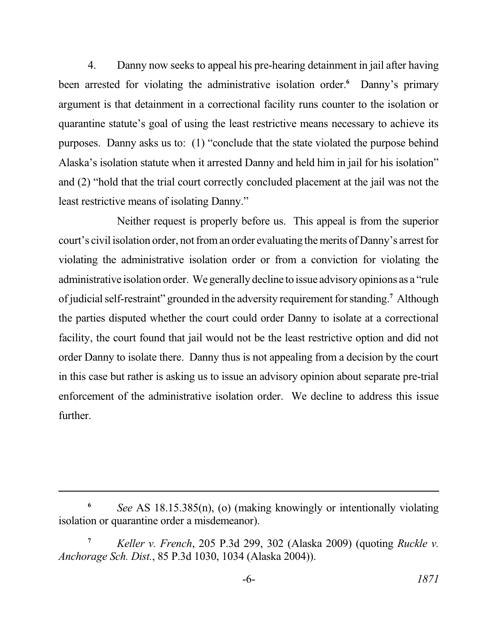4. Danny now seeks to appeal his pre-hearing detainment in jail after having been arrested for violating the administrative isolation order.<sup>6</sup> Danny's primary argument is that detainment in a correctional facility runs counter to the isolation or quarantine statute's goal of using the least restrictive means necessary to achieve its purposes. Danny asks us to: (1) "conclude that the state violated the purpose behind Alaska's isolation statute when it arrested Danny and held him in jail for his isolation" and (2) "hold that the trial court correctly concluded placement at the jail was not the least restrictive means of isolating Danny."

 Neither request is properly before us. This appeal is from the superior court's civil isolation order, not from an order evaluating the merits of Danny's arrest for violating the administrative isolation order or from a conviction for violating the administrative isolation order. We generally decline to issue advisory opinions as a "rule of judicial self-restraint" grounded in the adversity requirement for standing.**<sup>7</sup>**Although the parties disputed whether the court could order Danny to isolate at a correctional facility, the court found that jail would not be the least restrictive option and did not order Danny to isolate there. Danny thus is not appealing from a decision by the court in this case but rather is asking us to issue an advisory opinion about separate pre-trial enforcement of the administrative isolation order. We decline to address this issue further.

 **<sup>6</sup>***See* AS 18.15.385(n), (o) (making knowingly or intentionally violating isolation or quarantine order a misdemeanor).

 **<sup>7</sup>***Keller v. French*, 205 P.3d 299, 302 (Alaska 2009) (quoting *Ruckle v. Anchorage Sch. Dist.*, 85 P.3d 1030, 1034 (Alaska 2004)).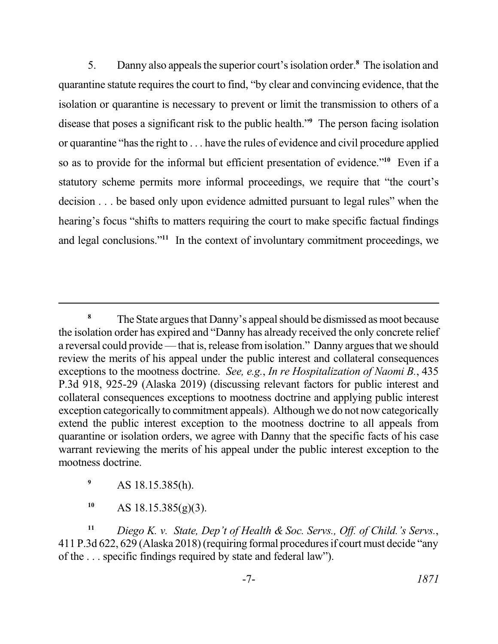5. Danny also appeals the superior court's isolation order.**<sup>8</sup>**The isolation and quarantine statute requires the court to find, "by clear and convincing evidence, that the isolation or quarantine is necessary to prevent or limit the transmission to others of a or quarantine "has the right to . . . have the rules of evidence and civil procedure applied so as to provide for the informal but efficient presentation of evidence."<sup>10</sup> Even if a statutory scheme permits more informal proceedings, we require that "the court's decision . . . be based only upon evidence admitted pursuant to legal rules" when the hearing's focus "shifts to matters requiring the court to make specific factual findings and legal conclusions."<sup>11</sup> In the context of involuntary commitment proceedings, we disease that poses a significant risk to the public health."**<sup>9</sup>** The person facing isolation

<sup>9</sup> AS 18.15.385(h).

**<sup>10</sup>**AS 18.15.385(g)(3).

**<sup>11</sup>***Diego K. v. State, Dep't of Health & Soc. Servs., Off. of Child.'s Servs.*, 411 P.3d 622, 629 (Alaska 2018) (requiring formal procedures if court must decide "any of the . . . specific findings required by state and federal law").

<sup>&</sup>lt;sup>8</sup>The State argues that Danny's appeal should be dismissed as moot because the isolation order has expired and "Danny has already received the only concrete relief a reversal could provide — that is, release from isolation." Danny argues that we should review the merits of his appeal under the public interest and collateral consequences exceptions to the mootness doctrine. *See, e.g.*, *In re Hospitalization of Naomi B.*, 435 P.3d 918, 925-29 (Alaska 2019) (discussing relevant factors for public interest and collateral consequences exceptions to mootness doctrine and applying public interest exception categorically to commitment appeals). Although we do not now categorically extend the public interest exception to the mootness doctrine to all appeals from quarantine or isolation orders, we agree with Danny that the specific facts of his case warrant reviewing the merits of his appeal under the public interest exception to the mootness doctrine.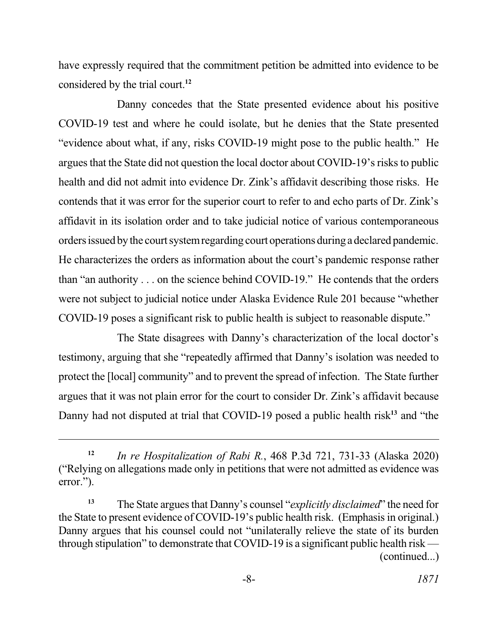have expressly required that the commitment petition be admitted into evidence to be considered by the trial court.**<sup>12</sup>**

 Danny concedes that the State presented evidence about his positive COVID-19 test and where he could isolate, but he denies that the State presented "evidence about what, if any, risks COVID-19 might pose to the public health." He argues that the State did not question the local doctor about COVID-19's risks to public health and did not admit into evidence Dr. Zink's affidavit describing those risks. He contends that it was error for the superior court to refer to and echo parts of Dr. Zink's affidavit in its isolation order and to take judicial notice of various contemporaneous orders issued by the court system regarding court operations during a declared pandemic. than "an authority . . . on the science behind COVID-19." He contends that the orders were not subject to judicial notice under Alaska Evidence Rule 201 because "whether COVID-19 poses a significant risk to public health is subject to reasonable dispute." He characterizes the orders as information about the court's pandemic response rather

 The State disagrees with Danny's characterization of the local doctor's protect the [local] community" and to prevent the spread of infection. The State further argues that it was not plain error for the court to consider Dr. Zink's affidavit because Danny had not disputed at trial that COVID-19 posed a public health risk**<sup>13</sup>**and "the testimony, arguing that she "repeatedly affirmed that Danny's isolation was needed to

 **<sup>12</sup>***In re Hospitalization of Rabi R.*, 468 P.3d 721, 731-33 (Alaska 2020) ("Relying on allegations made only in petitions that were not admitted as evidence was error.").

 **<sup>13</sup>**The State argues that Danny's counsel "*explicitly disclaimed*" the need for the State to present evidence of COVID-19's public health risk. (Emphasis in original.) Danny argues that his counsel could not "unilaterally relieve the state of its burden through stipulation" to demonstrate that COVID-19 is a significant public health risk — (continued...)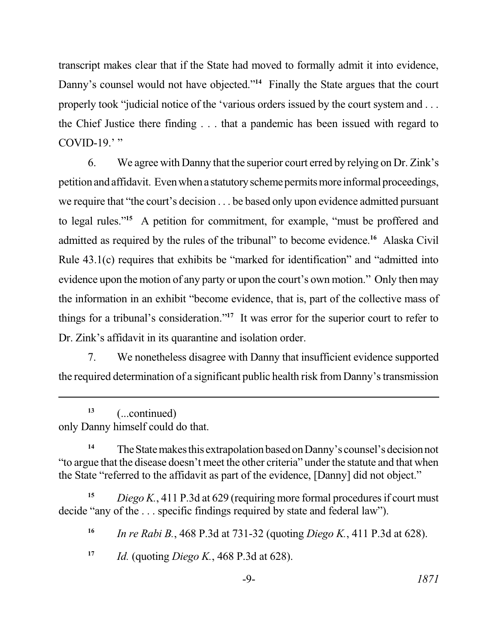transcript makes clear that if the State had moved to formally admit it into evidence, Danny's counsel would not have objected."<sup>14</sup> Finally the State argues that the court properly took "judicial notice of the 'various orders issued by the court system and . . . the Chief Justice there finding . . . that a pandemic has been issued with regard to COVID-19. $\cdot$ "

6. We agree with Danny that the superior court erred by relying on Dr. Zink's petition and affidavit. Even when a statutory scheme permits more informal proceedings, we require that "the court's decision . . . be based only upon evidence admitted pursuant to legal rules."**<sup>15</sup>**A petition for commitment, for example, "must be proffered and admitted as required by the rules of the tribunal" to become evidence.<sup>16</sup> Alaska Civil Rule 43.1(c) requires that exhibits be "marked for identification" and "admitted into evidence upon the motion of any party or upon the court's own motion." Only then may the information in an exhibit "become evidence, that is, part of the collective mass of things for a tribunal's consideration."**<sup>17</sup>**It was error for the superior court to refer to Dr. Zink's affidavit in its quarantine and isolation order.

7. We nonetheless disagree with Danny that insufficient evidence supported the required determination of a significant public health risk from Danny's transmission

 only Danny himself could do that. **<sup>13</sup>**(...continued)

<sup>14</sup> The State makes this extrapolation based on Danny's counsel's decision not "to argue that the disease doesn't meet the other criteria" under the statute and that when the State "referred to the affidavit as part of the evidence, [Danny] did not object."

 **<sup>15</sup>***Diego K.*, 411 P.3d at 629 (requiring more formal procedures if court must decide "any of the . . . specific findings required by state and federal law").

 **<sup>16</sup>***In re Rabi B.*, 468 P.3d at 731-32 (quoting *Diego K.*, 411 P.3d at 628).

**<sup>17</sup>***Id.* (quoting *Diego K.*, 468 P.3d at 628).